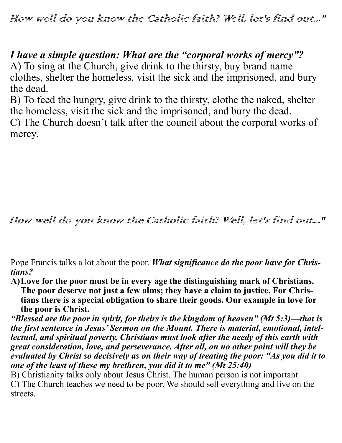How well do you know the Catholic faith? Well, let's find out..."

## *I have a simple question: What are the "corporal works of mercy"?*

A) To sing at the Church, give drink to the thirsty, buy brand name clothes, shelter the homeless, visit the sick and the imprisoned, and bury the dead.

B) To feed the hungry, give drink to the thirsty, clothe the naked, shelter the homeless, visit the sick and the imprisoned, and bury the dead.

C) The Church doesn't talk after the council about the corporal works of mercy.

How well do you know the Catholic faith? Well, let's find out..."

Pope Francis talks a lot about the poor. *What significance do the poor have for Christians?*

**A)Love for the poor must be in every age the distinguishing mark of Christians. The poor deserve not just a few alms; they have a claim to justice. For Christians there is a special obligation to share their goods. Our example in love for the poor is Christ.**

*"Blessed are the poor in spirit, for theirs is the kingdom of heaven" (Mt 5:3)—that is the first sentence in Jesus' Sermon on the Mount. There is material, emotional, intellectual, and spiritual poverty. Christians must look after the needy of this earth with great consideration, love, and perseverance. After all, on no other point will they be evaluated by Christ so decisively as on their way of treating the poor: "As you did it to one of the least of these my brethren, you did it to me" (Mt 25:40)*

B) Christianity talks only about Jesus Christ. The human person is not important. C) The Church teaches we need to be poor. We should sell everything and live on the streets.